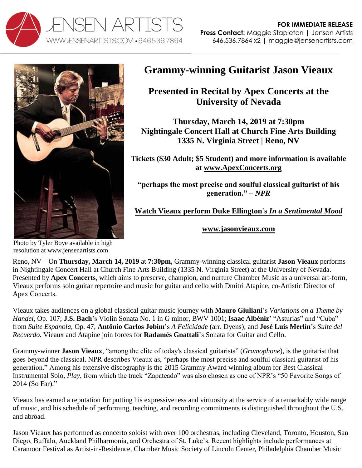



## **Grammy-winning Guitarist Jason Vieaux**

**Presented in Recital by Apex Concerts at the University of Nevada** 

**Thursday, March 14, 2019 at 7:30pm Nightingale Concert Hall at Church Fine Arts Building 1335 N. Virginia Street | Reno, NV** 

**Tickets (\$30 Adult; \$5 Student) and more information is available at [www.ApexConcerts.org](http://www.apexconcerts.org/)**

**"perhaps the most precise and soulful classical guitarist of his generation." –** *NPR*

**[Watch Vieaux perform Duke Ellington's](http://www.youtube.com/watch?v=6Mod9vYk4IE)** *In a Sentimental Mood*

**[www.jasonvieaux.com](http://www.jasonvieaux.com/)**

Photo by Tyler Boye available in high resolution at [www.jensenartists.com](http://www.jensenartists.com/)

Reno, NV – On **Thursday, March 14, 2019** at **7:30pm,** Grammy-winning classical guitarist **Jason Vieaux** performs in Nightingale Concert Hall at Church Fine Arts Building (1335 N. Virginia Street) at the University of Nevada. Presented by **Apex Concerts**, which aims to preserve, champion, and nurture Chamber Music as a universal art-form, Vieaux performs solo guitar repertoire and music for guitar and cello with Dmitri Atapine, co-Artistic Director of Apex Concerts.

Vieaux takes audiences on a global classical guitar music journey with **Mauro Giuliani**'s *Variations on a Theme by Handel*, Op. 107; **J.S. Bach**'s Violin Sonata No. 1 in G minor, BWV 1001; **Isaac Albéniz**' "Asturias" and "Cuba" from *Suite Espanola*, Op. 47; **Antônio Carlos Jobim**'s *A Felicidade* (arr. Dyens); and **José Luis Merlín**'s *Suite del Recuerdo.* Vieaux and Atapine join forces for **Radamés Gnattali**'s Sonata for Guitar and Cello.

Grammy-winner **Jason Vieaux**, "among the elite of today's classical guitarists" (*Gramophone*), is the guitarist that goes beyond the classical. NPR describes Vieaux as, "perhaps the most precise and soulful classical guitarist of his generation." Among his extensive discography is the 2015 Grammy Award winning album for Best Classical Instrumental Solo, *Play*, from which the track "Zapateado" was also chosen as one of NPR's "50 Favorite Songs of 2014 (So Far)."

Vieaux has earned a reputation for putting his expressiveness and virtuosity at the service of a remarkably wide range of music, and his schedule of performing, teaching, and recording commitments is distinguished throughout the U.S. and abroad.

Jason Vieaux has performed as concerto soloist with over 100 orchestras, including Cleveland, Toronto, Houston, San Diego, Buffalo, Auckland Philharmonia, and Orchestra of St. Luke's. Recent highlights include performances at Caramoor Festival as Artist-in-Residence, Chamber Music Society of Lincoln Center, Philadelphia Chamber Music